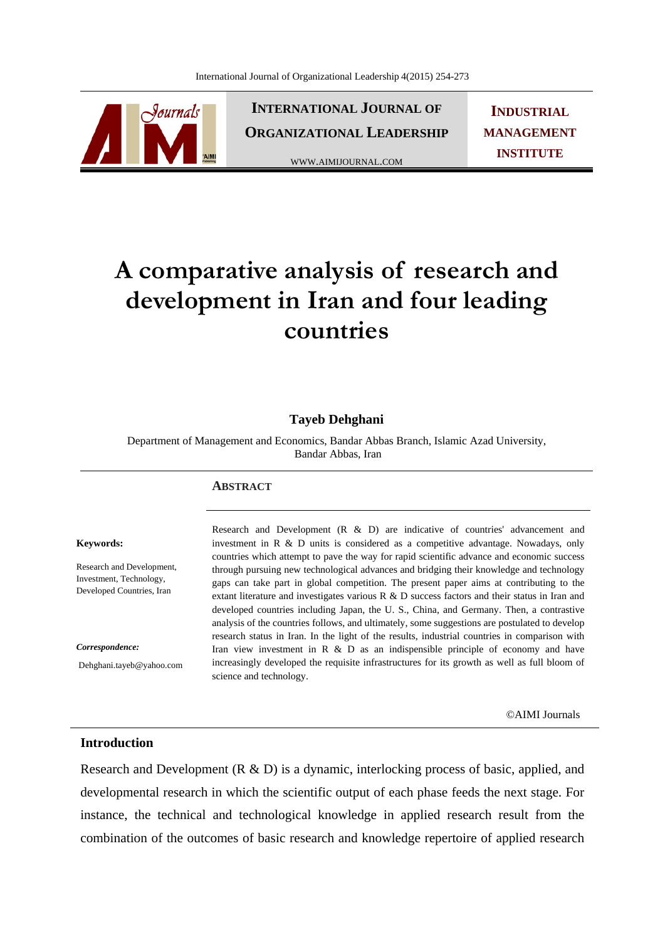

**INTERNATIONAL JOURNAL OF ORGANIZATIONAL LEADERSHIP**

WWW.AIMIJOURNAL.COM

**INDUSTRIAL MANAGEMENT INSTITUTE**

# **A comparative analysis of research and development in Iran and four leading countries**

## **Tayeb Dehghani**

Department of Management and Economics, Bandar Abbas Branch, Islamic Azad University, Bandar Abbas, Iran

#### **ABSTRACT**

#### **Keywords:**

Research and Development, Investment, Technology, Developed Countries, Iran

*Correspondence:* 

Dehghani.tayeb@yahoo.com

Research and Development (R & D) are indicative of countries' advancement and investment in R & D units is considered as a competitive advantage. Nowadays, only countries which attempt to pave the way for rapid scientific advance and economic success through pursuing new technological advances and bridging their knowledge and technology gaps can take part in global competition. The present paper aims at contributing to the extant literature and investigates various R & D success factors and their status in Iran and developed countries including Japan, the U. S., China, and Germany. Then, a contrastive analysis of the countries follows, and ultimately, some suggestions are postulated to develop research status in Iran. In the light of the results, industrial countries in comparison with Iran view investment in R & D as an indispensible principle of economy and have increasingly developed the requisite infrastructures for its growth as well as full bloom of science and technology.

©AIMI Journals

## **Introduction**

Research and Development (R & D) is a dynamic, interlocking process of basic, applied, and developmental research in which the scientific output of each phase feeds the next stage. For instance, the technical and technological knowledge in applied research result from the combination of the outcomes of basic research and knowledge repertoire of applied research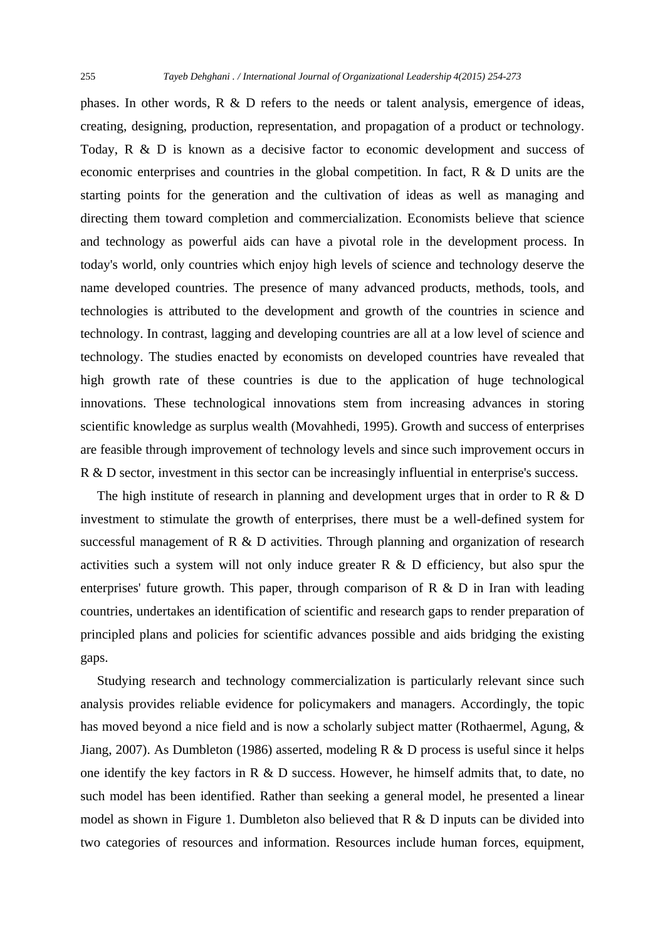phases. In other words, R & D refers to the needs or talent analysis, emergence of ideas, creating, designing, production, representation, and propagation of a product or technology. Today, R & D is known as a decisive factor to economic development and success of economic enterprises and countries in the global competition. In fact, R & D units are the starting points for the generation and the cultivation of ideas as well as managing and directing them toward completion and commercialization. Economists believe that science and technology as powerful aids can have a pivotal role in the development process. In today's world, only countries which enjoy high levels of science and technology deserve the name developed countries. The presence of many advanced products, methods, tools, and technologies is attributed to the development and growth of the countries in science and technology. In contrast, lagging and developing countries are all at a low level of science and technology. The studies enacted by economists on developed countries have revealed that high growth rate of these countries is due to the application of huge technological innovations. These technological innovations stem from increasing advances in storing scientific knowledge as surplus wealth (Movahhedi, 1995). Growth and success of enterprises are feasible through improvement of technology levels and since such improvement occurs in R & D sector, investment in this sector can be increasingly influential in enterprise's success.

The high institute of research in planning and development urges that in order to R  $\&$  D investment to stimulate the growth of enterprises, there must be a well-defined system for successful management of R & D activities. Through planning and organization of research activities such a system will not only induce greater  $R \& D$  efficiency, but also spur the enterprises' future growth. This paper, through comparison of  $R \& D$  in Iran with leading countries, undertakes an identification of scientific and research gaps to render preparation of principled plans and policies for scientific advances possible and aids bridging the existing gaps.

 Studying research and technology commercialization is particularly relevant since such analysis provides reliable evidence for policymakers and managers. Accordingly, the topic has moved beyond a nice field and is now a scholarly subject matter (Rothaermel, Agung, & Jiang, 2007). As Dumbleton (1986) asserted, modeling R & D process is useful since it helps one identify the key factors in R & D success. However, he himself admits that, to date, no such model has been identified. Rather than seeking a general model, he presented a linear model as shown in Figure 1. Dumbleton also believed that R & D inputs can be divided into two categories of resources and information. Resources include human forces, equipment,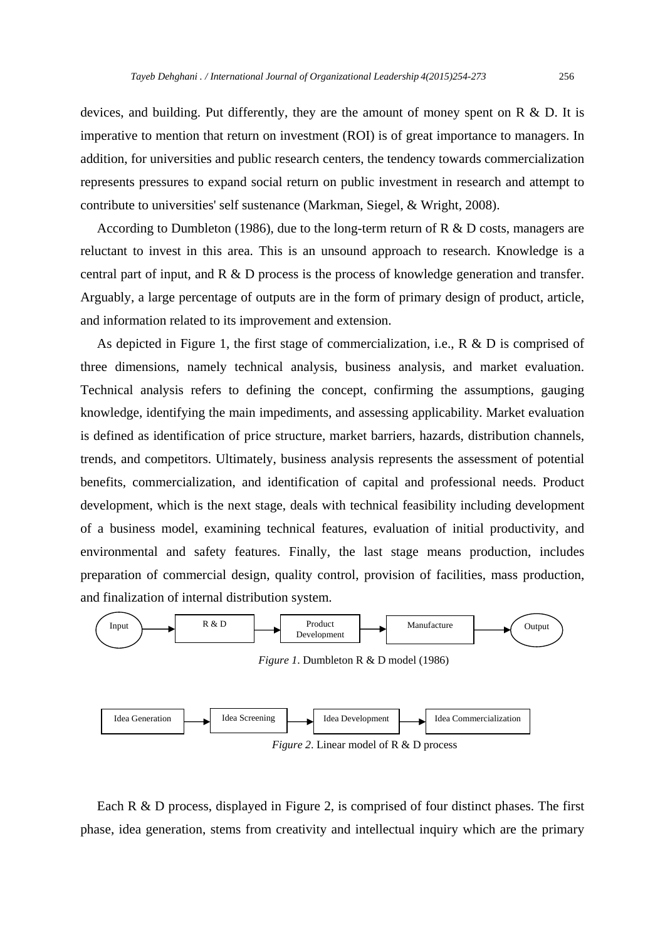devices, and building. Put differently, they are the amount of money spent on R & D. It is imperative to mention that return on investment (ROI) is of great importance to managers. In addition, for universities and public research centers, the tendency towards commercialization represents pressures to expand social return on public investment in research and attempt to contribute to universities' self sustenance (Markman, Siegel, & Wright, 2008).

According to Dumbleton (1986), due to the long-term return of R  $\&$  D costs, managers are reluctant to invest in this area. This is an unsound approach to research. Knowledge is a central part of input, and R & D process is the process of knowledge generation and transfer. Arguably, a large percentage of outputs are in the form of primary design of product, article, and information related to its improvement and extension.

 As depicted in Figure 1, the first stage of commercialization, i.e., R & D is comprised of three dimensions, namely technical analysis, business analysis, and market evaluation. Technical analysis refers to defining the concept, confirming the assumptions, gauging knowledge, identifying the main impediments, and assessing applicability. Market evaluation is defined as identification of price structure, market barriers, hazards, distribution channels, trends, and competitors. Ultimately, business analysis represents the assessment of potential benefits, commercialization, and identification of capital and professional needs. Product development, which is the next stage, deals with technical feasibility including development of a business model, examining technical features, evaluation of initial productivity, and environmental and safety features. Finally, the last stage means production, includes preparation of commercial design, quality control, provision of facilities, mass production, and finalization of internal distribution system.



*Figure 2.* Linear model of R & D process

Each R & D process, displayed in Figure 2, is comprised of four distinct phases. The first phase, idea generation, stems from creativity and intellectual inquiry which are the primary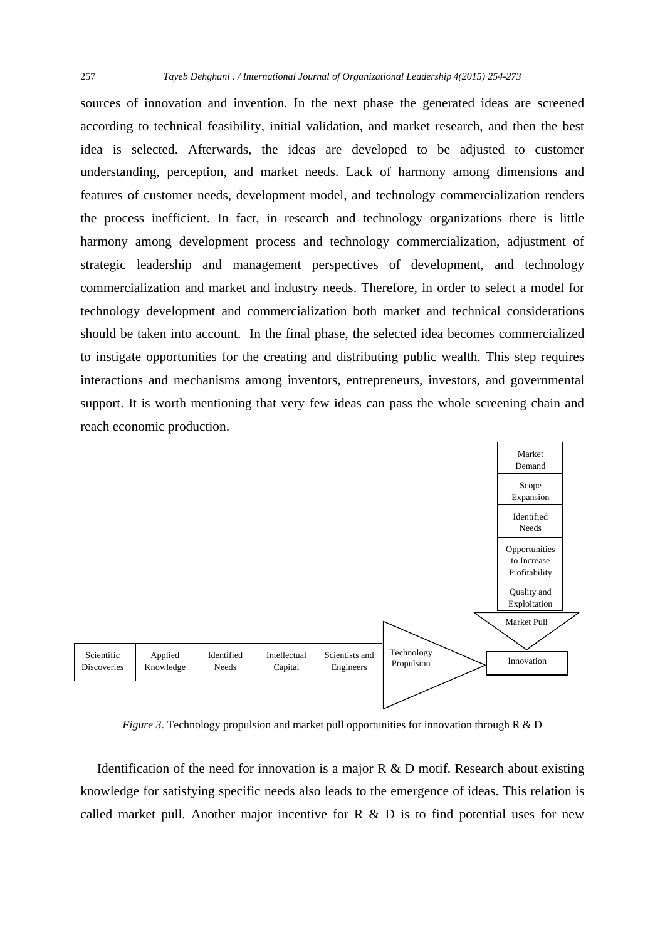sources of innovation and invention. In the next phase the generated ideas are screened according to technical feasibility, initial validation, and market research, and then the best idea is selected. Afterwards, the ideas are developed to be adjusted to customer understanding, perception, and market needs. Lack of harmony among dimensions and features of customer needs, development model, and technology commercialization renders the process inefficient. In fact, in research and technology organizations there is little harmony among development process and technology commercialization, adjustment of strategic leadership and management perspectives of development, and technology commercialization and market and industry needs. Therefore, in order to select a model for technology development and commercialization both market and technical considerations should be taken into account. In the final phase, the selected idea becomes commercialized to instigate opportunities for the creating and distributing public wealth. This step requires interactions and mechanisms among inventors, entrepreneurs, investors, and governmental support. It is worth mentioning that very few ideas can pass the whole screening chain and reach economic production.



*Figure 3*. Technology propulsion and market pull opportunities for innovation through R & D

Identification of the need for innovation is a major  $R \& D$  motif. Research about existing knowledge for satisfying specific needs also leads to the emergence of ideas. This relation is called market pull. Another major incentive for  $R \& D$  is to find potential uses for new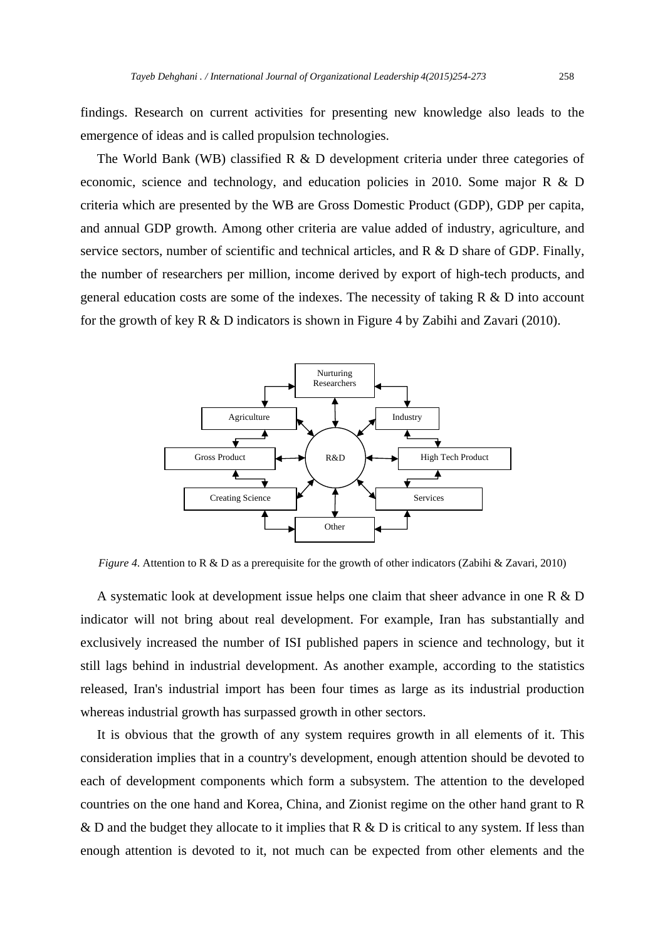findings. Research on current activities for presenting new knowledge also leads to the emergence of ideas and is called propulsion technologies.

The World Bank (WB) classified R & D development criteria under three categories of economic, science and technology, and education policies in 2010. Some major R & D criteria which are presented by the WB are Gross Domestic Product (GDP), GDP per capita, and annual GDP growth. Among other criteria are value added of industry, agriculture, and service sectors, number of scientific and technical articles, and R & D share of GDP. Finally, the number of researchers per million, income derived by export of high-tech products, and general education costs are some of the indexes. The necessity of taking R & D into account for the growth of key R & D indicators is shown in Figure 4 by Zabihi and Zavari (2010).



*Figure 4*. Attention to R & D as a prerequisite for the growth of other indicators (Zabihi & Zavari, 2010)

 A systematic look at development issue helps one claim that sheer advance in one R & D indicator will not bring about real development. For example, Iran has substantially and exclusively increased the number of ISI published papers in science and technology, but it still lags behind in industrial development. As another example, according to the statistics released, Iran's industrial import has been four times as large as its industrial production whereas industrial growth has surpassed growth in other sectors.

 It is obvious that the growth of any system requires growth in all elements of it. This consideration implies that in a country's development, enough attention should be devoted to each of development components which form a subsystem. The attention to the developed countries on the one hand and Korea, China, and Zionist regime on the other hand grant to R & D and the budget they allocate to it implies that R & D is critical to any system. If less than enough attention is devoted to it, not much can be expected from other elements and the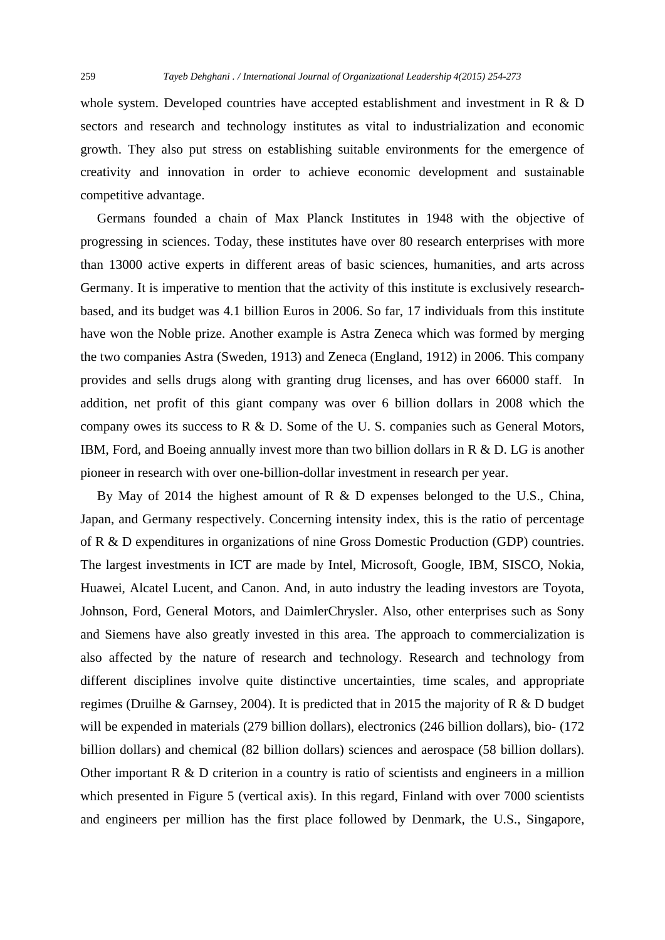whole system. Developed countries have accepted establishment and investment in R & D sectors and research and technology institutes as vital to industrialization and economic growth. They also put stress on establishing suitable environments for the emergence of creativity and innovation in order to achieve economic development and sustainable competitive advantage.

 Germans founded a chain of Max Planck Institutes in 1948 with the objective of progressing in sciences. Today, these institutes have over 80 research enterprises with more than 13000 active experts in different areas of basic sciences, humanities, and arts across Germany. It is imperative to mention that the activity of this institute is exclusively researchbased, and its budget was 4.1 billion Euros in 2006. So far, 17 individuals from this institute have won the Noble prize. Another example is Astra Zeneca which was formed by merging the two companies Astra (Sweden, 1913) and Zeneca (England, 1912) in 2006. This company provides and sells drugs along with granting drug licenses, and has over 66000 staff. In addition, net profit of this giant company was over 6 billion dollars in 2008 which the company owes its success to R  $\&$  D. Some of the U.S. companies such as General Motors, IBM, Ford, and Boeing annually invest more than two billion dollars in R & D. LG is another pioneer in research with over one-billion-dollar investment in research per year.

 By May of 2014 the highest amount of R & D expenses belonged to the U.S., China, Japan, and Germany respectively. Concerning intensity index, this is the ratio of percentage of R & D expenditures in organizations of nine Gross Domestic Production (GDP) countries. The largest investments in ICT are made by Intel, Microsoft, Google, IBM, SISCO, Nokia, Huawei, Alcatel Lucent, and Canon. And, in auto industry the leading investors are Toyota, Johnson, Ford, General Motors, and DaimlerChrysler. Also, other enterprises such as Sony and Siemens have also greatly invested in this area. The approach to commercialization is also affected by the nature of research and technology. Research and technology from different disciplines involve quite distinctive uncertainties, time scales, and appropriate regimes (Druilhe & Garnsey, 2004). It is predicted that in 2015 the majority of R & D budget will be expended in materials (279 billion dollars), electronics (246 billion dollars), bio- (172 billion dollars) and chemical (82 billion dollars) sciences and aerospace (58 billion dollars). Other important R & D criterion in a country is ratio of scientists and engineers in a million which presented in Figure 5 (vertical axis). In this regard, Finland with over 7000 scientists and engineers per million has the first place followed by Denmark, the U.S., Singapore,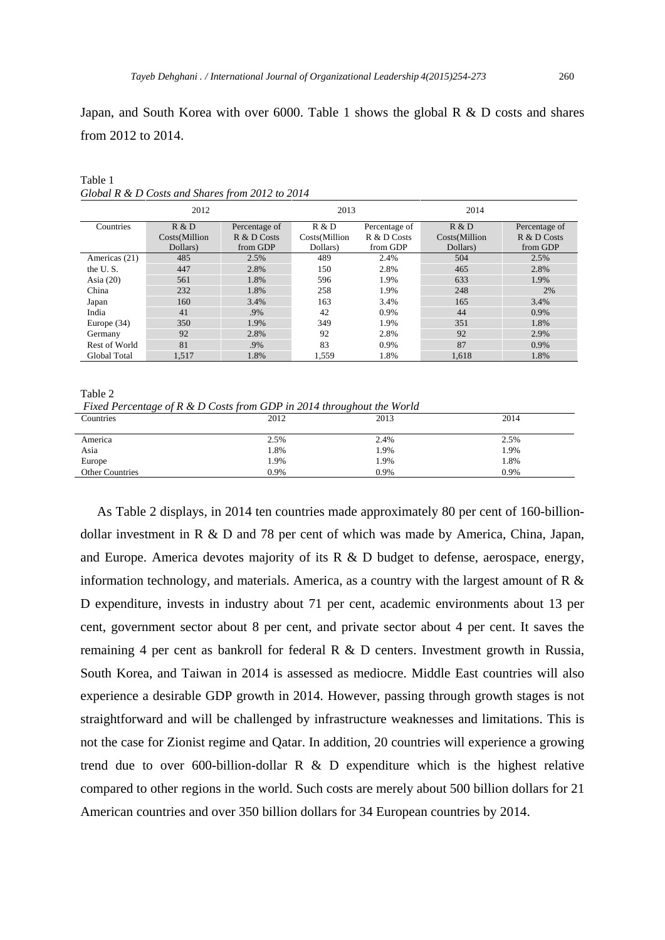Japan, and South Korea with over 6000. Table 1 shows the global R & D costs and shares from 2012 to 2014.

|               | 2012          |               | 2013          |                | 2014          |               |
|---------------|---------------|---------------|---------------|----------------|---------------|---------------|
| Countries     | R & D         | Percentage of | R & D         | Percentage of  | R & D         | Percentage of |
|               | Costs(Million | $R & D$ Costs | Costs(Million | $R \& D$ Costs | Costs(Million | $R & D$ Costs |
|               | Dollars)      | from GDP      | Dollars)      | from GDP       | Dollars)      | from GDP      |
| Americas (21) | 485           | 2.5%          | 489           | 2.4%           | 504           | 2.5%          |
| the U.S.      | 447           | 2.8%          | 150           | 2.8%           | 465           | 2.8%          |
| Asia $(20)$   | 561           | 1.8%          | 596           | 1.9%           | 633           | 1.9%          |
| China         | 232           | 1.8%          | 258           | 1.9%           | 248           | 2%            |
| Japan         | 160           | 3.4%          | 163           | 3.4%           | 165           | 3.4%          |
| India         | 41            | .9%           | 42            | 0.9%           | 44            | 0.9%          |
| Europe $(34)$ | 350           | 1.9%          | 349           | 1.9%           | 351           | 1.8%          |
| Germany       | 92            | 2.8%          | 92            | 2.8%           | 92            | 2.9%          |
| Rest of World | 81            | .9%           | 83            | 0.9%           | 87            | 0.9%          |
| Global Total  | 1.517         | 1.8%          | 1.559         | 1.8%           | 1.618         | 1.8%          |

Table 1 *Global R & D Costs and Shares from 2012 to 2014*

Table 2

 *Fixed Percentage of R & D Costs from GDP in 2014 throughout the World* 

| $\sim$                 |      | .    |      |
|------------------------|------|------|------|
| Countries              | 2012 | 2013 | 2014 |
|                        |      |      |      |
| America                | 2.5% | 2.4% | 2.5% |
| Asia                   | 1.8% | 1.9% | 1.9% |
| Europe                 | l.9% | 1.9% | 1.8% |
| <b>Other Countries</b> | 0.9% | 0.9% | 0.9% |
|                        |      |      |      |

 As Table 2 displays, in 2014 ten countries made approximately 80 per cent of 160-billiondollar investment in R & D and 78 per cent of which was made by America, China, Japan, and Europe. America devotes majority of its  $R \& D$  budget to defense, aerospace, energy, information technology, and materials. America, as a country with the largest amount of R & D expenditure, invests in industry about 71 per cent, academic environments about 13 per cent, government sector about 8 per cent, and private sector about 4 per cent. It saves the remaining 4 per cent as bankroll for federal R & D centers. Investment growth in Russia, South Korea, and Taiwan in 2014 is assessed as mediocre. Middle East countries will also experience a desirable GDP growth in 2014. However, passing through growth stages is not straightforward and will be challenged by infrastructure weaknesses and limitations. This is not the case for Zionist regime and Qatar. In addition, 20 countries will experience a growing trend due to over 600-billion-dollar R  $\&$  D expenditure which is the highest relative compared to other regions in the world. Such costs are merely about 500 billion dollars for 21 American countries and over 350 billion dollars for 34 European countries by 2014.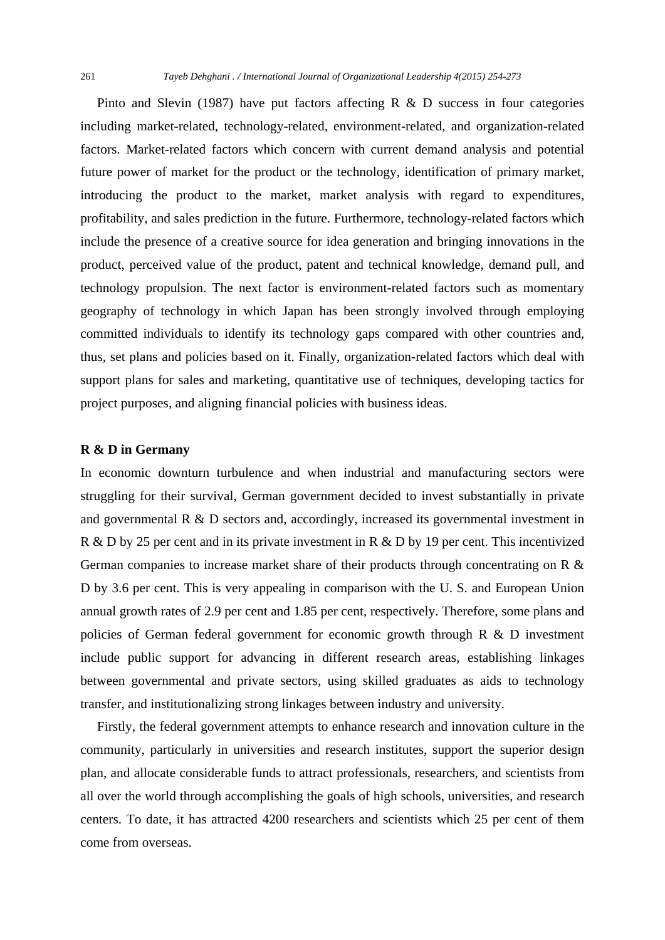Pinto and Slevin (1987) have put factors affecting  $R \& D$  success in four categories including market-related, technology-related, environment-related, and organization-related factors. Market-related factors which concern with current demand analysis and potential future power of market for the product or the technology, identification of primary market, introducing the product to the market, market analysis with regard to expenditures, profitability, and sales prediction in the future. Furthermore, technology-related factors which include the presence of a creative source for idea generation and bringing innovations in the product, perceived value of the product, patent and technical knowledge, demand pull, and technology propulsion. The next factor is environment-related factors such as momentary geography of technology in which Japan has been strongly involved through employing committed individuals to identify its technology gaps compared with other countries and, thus, set plans and policies based on it. Finally, organization-related factors which deal with support plans for sales and marketing, quantitative use of techniques, developing tactics for project purposes, and aligning financial policies with business ideas.

#### **R & D in Germany**

In economic downturn turbulence and when industrial and manufacturing sectors were struggling for their survival, German government decided to invest substantially in private and governmental R & D sectors and, accordingly, increased its governmental investment in R & D by 25 per cent and in its private investment in R & D by 19 per cent. This incentivized German companies to increase market share of their products through concentrating on R & D by 3.6 per cent. This is very appealing in comparison with the U. S. and European Union annual growth rates of 2.9 per cent and 1.85 per cent, respectively. Therefore, some plans and policies of German federal government for economic growth through R & D investment include public support for advancing in different research areas, establishing linkages between governmental and private sectors, using skilled graduates as aids to technology transfer, and institutionalizing strong linkages between industry and university.

 Firstly, the federal government attempts to enhance research and innovation culture in the community, particularly in universities and research institutes, support the superior design plan, and allocate considerable funds to attract professionals, researchers, and scientists from all over the world through accomplishing the goals of high schools, universities, and research centers. To date, it has attracted 4200 researchers and scientists which 25 per cent of them come from overseas.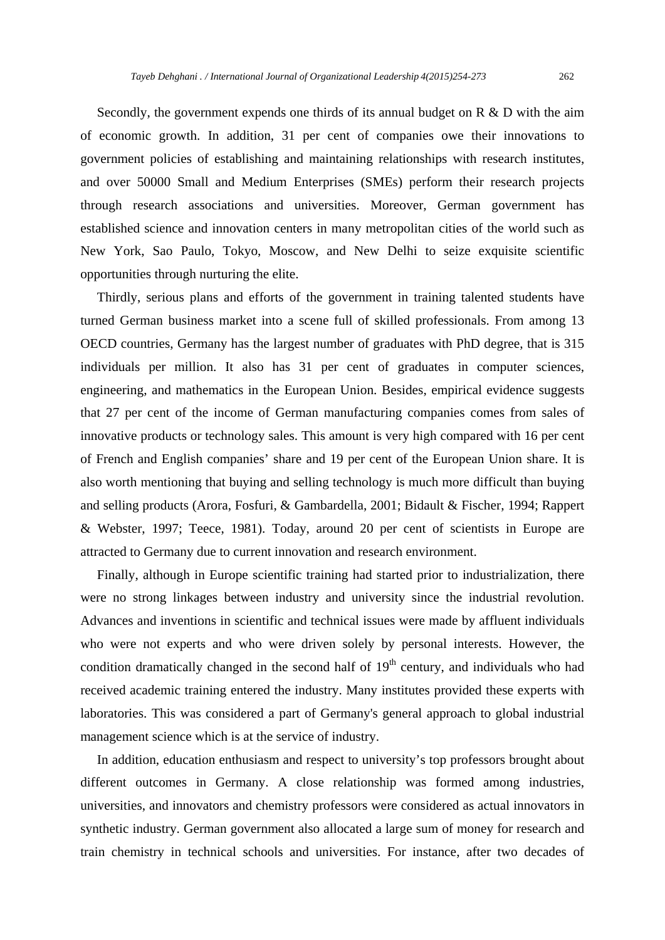Secondly, the government expends one thirds of its annual budget on  $R \& D$  with the aim of economic growth. In addition, 31 per cent of companies owe their innovations to government policies of establishing and maintaining relationships with research institutes, and over 50000 Small and Medium Enterprises (SMEs) perform their research projects through research associations and universities. Moreover, German government has established science and innovation centers in many metropolitan cities of the world such as New York, Sao Paulo, Tokyo, Moscow, and New Delhi to seize exquisite scientific opportunities through nurturing the elite.

 Thirdly, serious plans and efforts of the government in training talented students have turned German business market into a scene full of skilled professionals. From among 13 OECD countries, Germany has the largest number of graduates with PhD degree, that is 315 individuals per million. It also has 31 per cent of graduates in computer sciences, engineering, and mathematics in the European Union. Besides, empirical evidence suggests that 27 per cent of the income of German manufacturing companies comes from sales of innovative products or technology sales. This amount is very high compared with 16 per cent of French and English companies' share and 19 per cent of the European Union share. It is also worth mentioning that buying and selling technology is much more difficult than buying and selling products (Arora, Fosfuri, & Gambardella, 2001; Bidault & Fischer, 1994; Rappert & Webster, 1997; Teece, 1981). Today, around 20 per cent of scientists in Europe are attracted to Germany due to current innovation and research environment.

 Finally, although in Europe scientific training had started prior to industrialization, there were no strong linkages between industry and university since the industrial revolution. Advances and inventions in scientific and technical issues were made by affluent individuals who were not experts and who were driven solely by personal interests. However, the condition dramatically changed in the second half of  $19<sup>th</sup>$  century, and individuals who had received academic training entered the industry. Many institutes provided these experts with laboratories. This was considered a part of Germany's general approach to global industrial management science which is at the service of industry.

 In addition, education enthusiasm and respect to university's top professors brought about different outcomes in Germany. A close relationship was formed among industries, universities, and innovators and chemistry professors were considered as actual innovators in synthetic industry. German government also allocated a large sum of money for research and train chemistry in technical schools and universities. For instance, after two decades of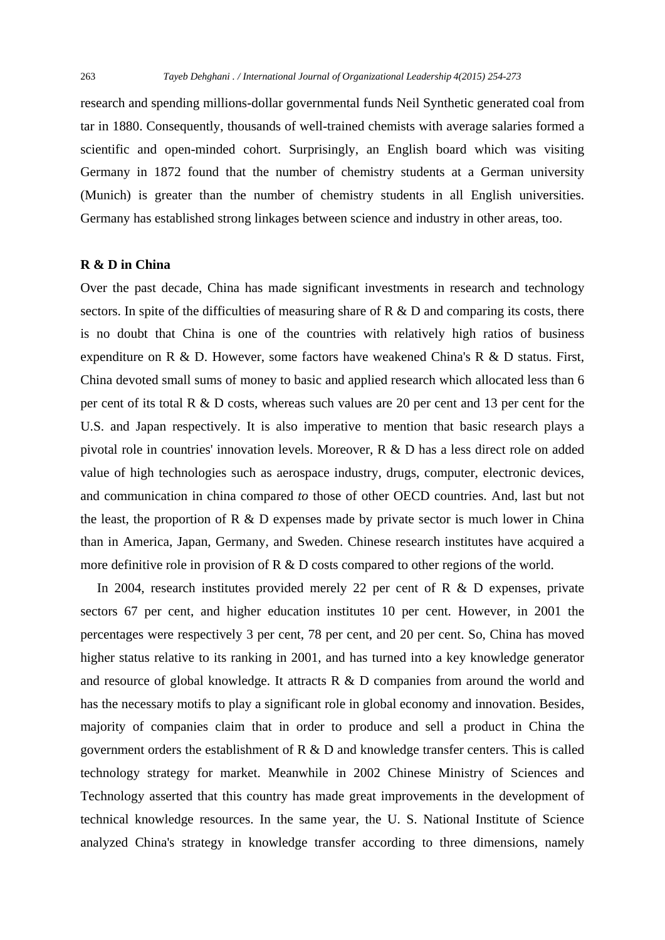research and spending millions-dollar governmental funds Neil Synthetic generated coal from tar in 1880. Consequently, thousands of well-trained chemists with average salaries formed a scientific and open-minded cohort. Surprisingly, an English board which was visiting Germany in 1872 found that the number of chemistry students at a German university (Munich) is greater than the number of chemistry students in all English universities. Germany has established strong linkages between science and industry in other areas, too.

# **R & D in China**

Over the past decade, China has made significant investments in research and technology sectors. In spite of the difficulties of measuring share of  $R \& D$  and comparing its costs, there is no doubt that China is one of the countries with relatively high ratios of business expenditure on R & D. However, some factors have weakened China's R & D status. First, China devoted small sums of money to basic and applied research which allocated less than 6 per cent of its total R & D costs, whereas such values are 20 per cent and 13 per cent for the U.S. and Japan respectively. It is also imperative to mention that basic research plays a pivotal role in countries' innovation levels. Moreover, R & D has a less direct role on added value of high technologies such as aerospace industry, drugs, computer, electronic devices, and communication in china compared *to* those of other OECD countries. And, last but not the least, the proportion of  $R \& D$  expenses made by private sector is much lower in China than in America, Japan, Germany, and Sweden. Chinese research institutes have acquired a more definitive role in provision of R & D costs compared to other regions of the world.

In 2004, research institutes provided merely 22 per cent of R & D expenses, private sectors 67 per cent, and higher education institutes 10 per cent. However, in 2001 the percentages were respectively 3 per cent, 78 per cent, and 20 per cent. So, China has moved higher status relative to its ranking in 2001, and has turned into a key knowledge generator and resource of global knowledge. It attracts R & D companies from around the world and has the necessary motifs to play a significant role in global economy and innovation. Besides, majority of companies claim that in order to produce and sell a product in China the government orders the establishment of R & D and knowledge transfer centers. This is called technology strategy for market. Meanwhile in 2002 Chinese Ministry of Sciences and Technology asserted that this country has made great improvements in the development of technical knowledge resources. In the same year, the U. S. National Institute of Science analyzed China's strategy in knowledge transfer according to three dimensions, namely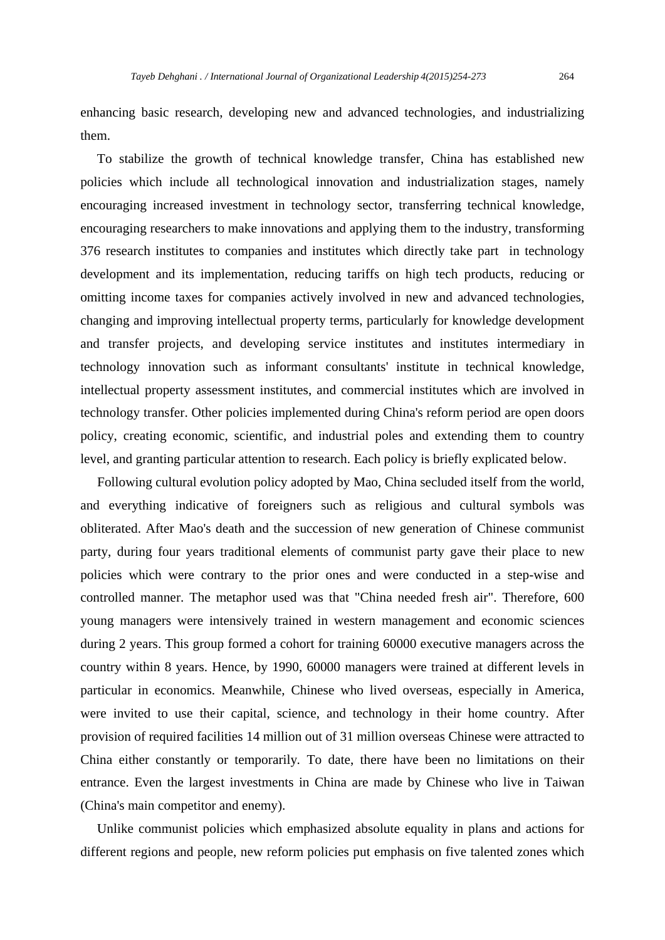enhancing basic research, developing new and advanced technologies, and industrializing them.

 To stabilize the growth of technical knowledge transfer, China has established new policies which include all technological innovation and industrialization stages, namely encouraging increased investment in technology sector, transferring technical knowledge, encouraging researchers to make innovations and applying them to the industry, transforming 376 research institutes to companies and institutes which directly take part in technology development and its implementation, reducing tariffs on high tech products, reducing or omitting income taxes for companies actively involved in new and advanced technologies, changing and improving intellectual property terms, particularly for knowledge development and transfer projects, and developing service institutes and institutes intermediary in technology innovation such as informant consultants' institute in technical knowledge, intellectual property assessment institutes, and commercial institutes which are involved in technology transfer. Other policies implemented during China's reform period are open doors policy, creating economic, scientific, and industrial poles and extending them to country level, and granting particular attention to research. Each policy is briefly explicated below.

 Following cultural evolution policy adopted by Mao, China secluded itself from the world, and everything indicative of foreigners such as religious and cultural symbols was obliterated. After Mao's death and the succession of new generation of Chinese communist party, during four years traditional elements of communist party gave their place to new policies which were contrary to the prior ones and were conducted in a step-wise and controlled manner. The metaphor used was that "China needed fresh air". Therefore, 600 young managers were intensively trained in western management and economic sciences during 2 years. This group formed a cohort for training 60000 executive managers across the country within 8 years. Hence, by 1990, 60000 managers were trained at different levels in particular in economics. Meanwhile, Chinese who lived overseas, especially in America, were invited to use their capital, science, and technology in their home country. After provision of required facilities 14 million out of 31 million overseas Chinese were attracted to China either constantly or temporarily*.* To date, there have been no limitations on their entrance. Even the largest investments in China are made by Chinese who live in Taiwan (China's main competitor and enemy).

 Unlike communist policies which emphasized absolute equality in plans and actions for different regions and people, new reform policies put emphasis on five talented zones which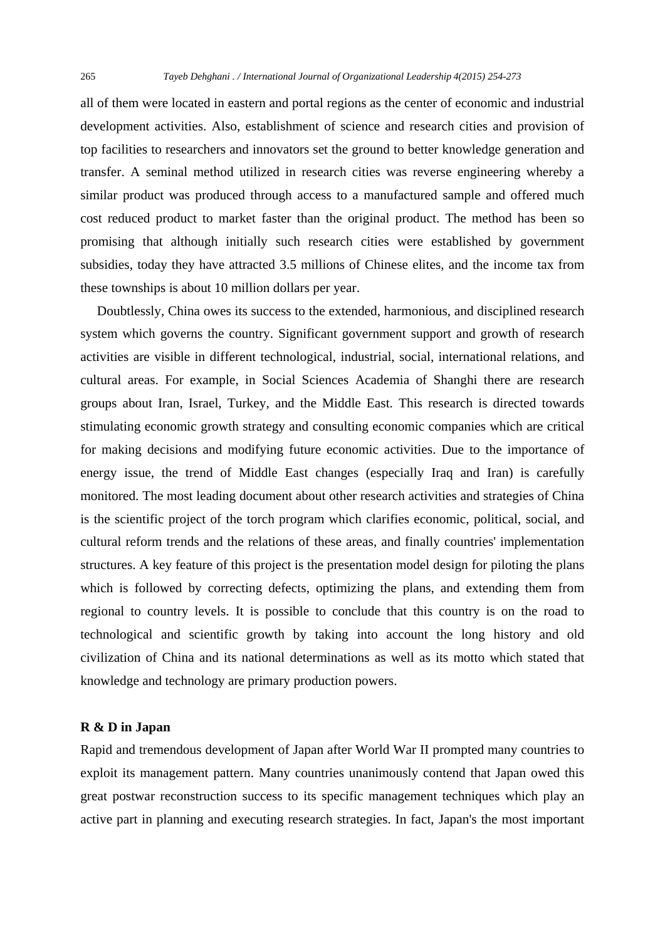all of them were located in eastern and portal regions as the center of economic and industrial development activities. Also, establishment of science and research cities and provision of top facilities to researchers and innovators set the ground to better knowledge generation and transfer. A seminal method utilized in research cities was reverse engineering whereby a similar product was produced through access to a manufactured sample and offered much cost reduced product to market faster than the original product. The method has been so promising that although initially such research cities were established by government subsidies, today they have attracted 3.5 millions of Chinese elites, and the income tax from these townships is about 10 million dollars per year.

 Doubtlessly, China owes its success to the extended, harmonious, and disciplined research system which governs the country. Significant government support and growth of research activities are visible in different technological, industrial, social, international relations, and cultural areas. For example, in Social Sciences Academia of Shanghi there are research groups about Iran, Israel, Turkey, and the Middle East. This research is directed towards stimulating economic growth strategy and consulting economic companies which are critical for making decisions and modifying future economic activities. Due to the importance of energy issue, the trend of Middle East changes (especially Iraq and Iran) is carefully monitored. The most leading document about other research activities and strategies of China is the scientific project of the torch program which clarifies economic, political, social, and cultural reform trends and the relations of these areas, and finally countries' implementation structures. A key feature of this project is the presentation model design for piloting the plans which is followed by correcting defects, optimizing the plans, and extending them from regional to country levels. It is possible to conclude that this country is on the road to technological and scientific growth by taking into account the long history and old civilization of China and its national determinations as well as its motto which stated that knowledge and technology are primary production powers.

### **R & D in Japan**

Rapid and tremendous development of Japan after World War II prompted many countries to exploit its management pattern. Many countries unanimously contend that Japan owed this great postwar reconstruction success to its specific management techniques which play an active part in planning and executing research strategies. In fact, Japan's the most important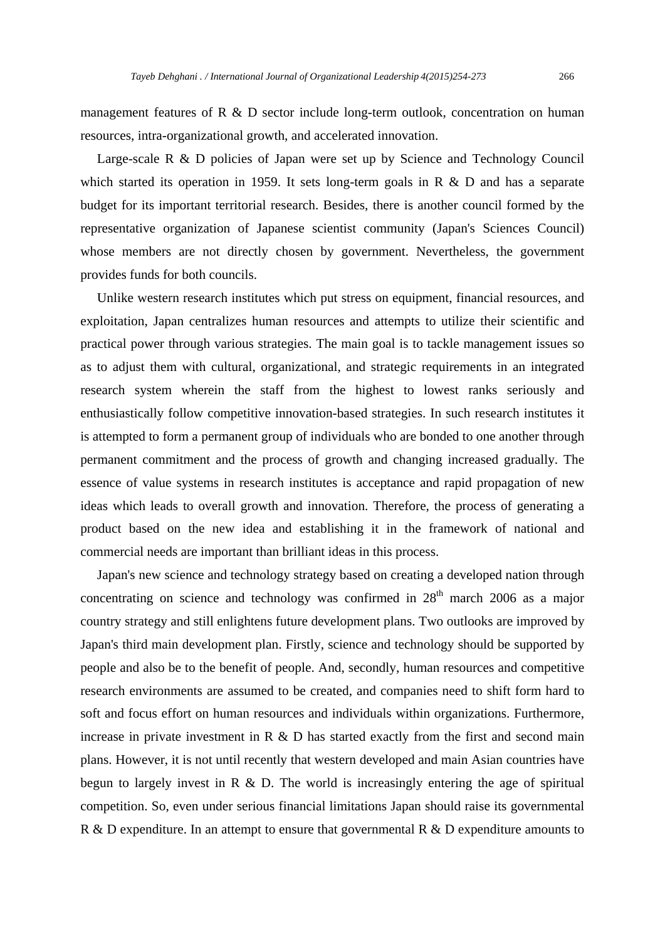management features of R & D sector include long-term outlook, concentration on human resources, intra-organizational growth, and accelerated innovation.

Large-scale R & D policies of Japan were set up by Science and Technology Council which started its operation in 1959. It sets long-term goals in R & D and has a separate budget for its important territorial research. Besides, there is another council formed by the representative organization of Japanese scientist community (Japan's Sciences Council) whose members are not directly chosen by government. Nevertheless, the government provides funds for both councils.

 Unlike western research institutes which put stress on equipment, financial resources, and exploitation, Japan centralizes human resources and attempts to utilize their scientific and practical power through various strategies. The main goal is to tackle management issues so as to adjust them with cultural, organizational, and strategic requirements in an integrated research system wherein the staff from the highest to lowest ranks seriously and enthusiastically follow competitive innovation-based strategies. In such research institutes it is attempted to form a permanent group of individuals who are bonded to one another through permanent commitment and the process of growth and changing increased gradually. The essence of value systems in research institutes is acceptance and rapid propagation of new ideas which leads to overall growth and innovation. Therefore, the process of generating a product based on the new idea and establishing it in the framework of national and commercial needs are important than brilliant ideas in this process.

 Japan's new science and technology strategy based on creating a developed nation through concentrating on science and technology was confirmed in  $28<sup>th</sup>$  march 2006 as a major country strategy and still enlightens future development plans. Two outlooks are improved by Japan's third main development plan. Firstly, science and technology should be supported by people and also be to the benefit of people. And, secondly, human resources and competitive research environments are assumed to be created, and companies need to shift form hard to soft and focus effort on human resources and individuals within organizations. Furthermore, increase in private investment in  $R \& D$  has started exactly from the first and second main plans. However, it is not until recently that western developed and main Asian countries have begun to largely invest in R & D. The world is increasingly entering the age of spiritual competition. So, even under serious financial limitations Japan should raise its governmental R & D expenditure. In an attempt to ensure that governmental R & D expenditure amounts to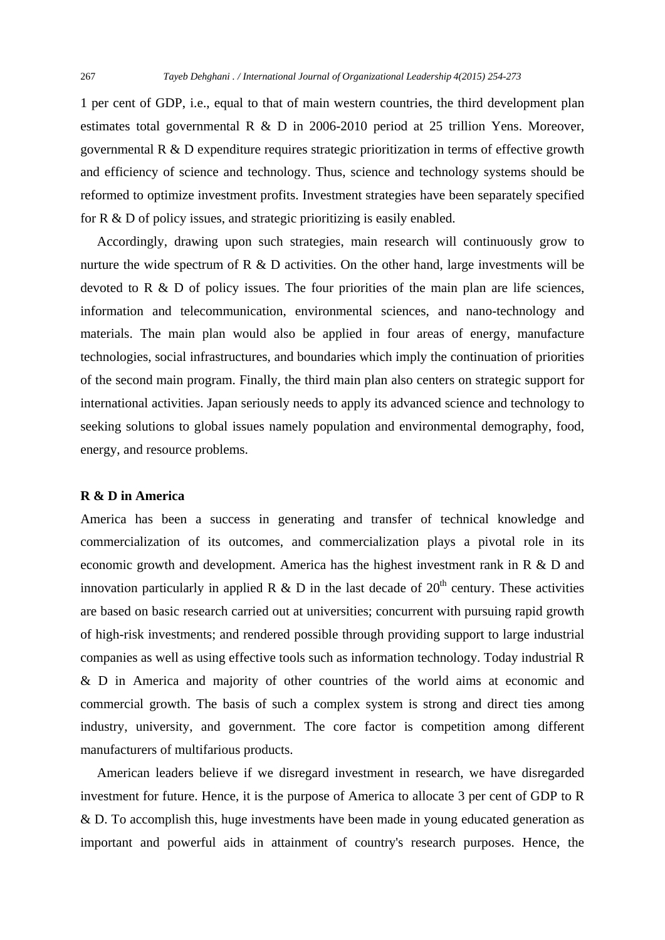1 per cent of GDP, i.e., equal to that of main western countries, the third development plan estimates total governmental R & D in 2006-2010 period at 25 trillion Yens. Moreover, governmental R & D expenditure requires strategic prioritization in terms of effective growth and efficiency of science and technology. Thus, science and technology systems should be reformed to optimize investment profits. Investment strategies have been separately specified for R & D of policy issues, and strategic prioritizing is easily enabled.

 Accordingly, drawing upon such strategies, main research will continuously grow to nurture the wide spectrum of R  $\&$  D activities. On the other hand, large investments will be devoted to R  $\&$  D of policy issues. The four priorities of the main plan are life sciences, information and telecommunication, environmental sciences, and nano-technology and materials. The main plan would also be applied in four areas of energy, manufacture technologies, social infrastructures, and boundaries which imply the continuation of priorities of the second main program. Finally, the third main plan also centers on strategic support for international activities. Japan seriously needs to apply its advanced science and technology to seeking solutions to global issues namely population and environmental demography, food, energy, and resource problems.

# **R & D in America**

America has been a success in generating and transfer of technical knowledge and commercialization of its outcomes, and commercialization plays a pivotal role in its economic growth and development. America has the highest investment rank in R & D and innovation particularly in applied R & D in the last decade of  $20<sup>th</sup>$  century. These activities are based on basic research carried out at universities; concurrent with pursuing rapid growth of high-risk investments; and rendered possible through providing support to large industrial companies as well as using effective tools such as information technology. Today industrial R & D in America and majority of other countries of the world aims at economic and commercial growth. The basis of such a complex system is strong and direct ties among industry, university, and government. The core factor is competition among different manufacturers of multifarious products.

 American leaders believe if we disregard investment in research, we have disregarded investment for future. Hence, it is the purpose of America to allocate 3 per cent of GDP to R & D. To accomplish this, huge investments have been made in young educated generation as important and powerful aids in attainment of country's research purposes. Hence, the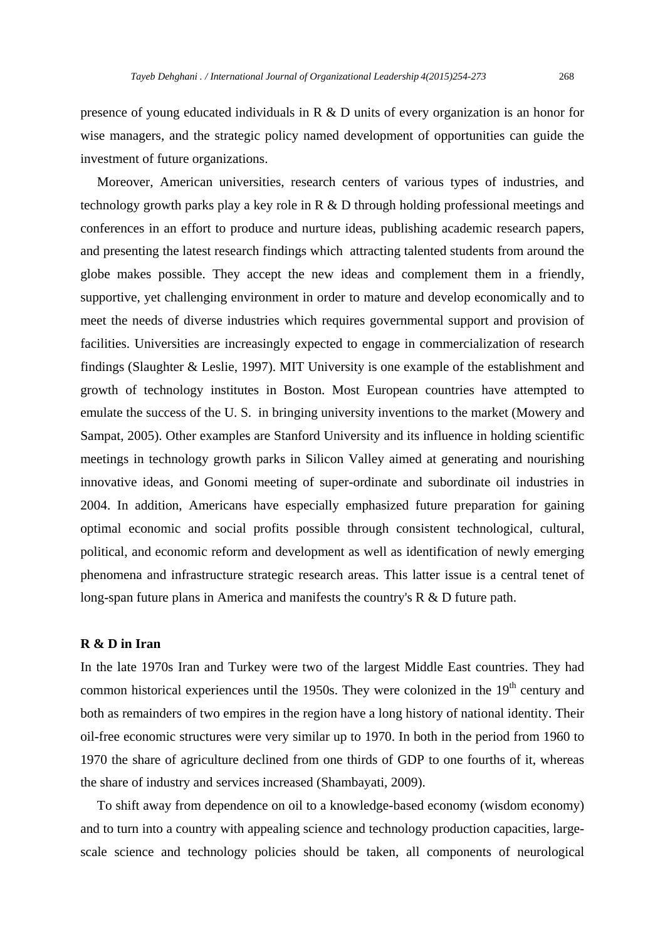presence of young educated individuals in R & D units of every organization is an honor for wise managers, and the strategic policy named development of opportunities can guide the investment of future organizations.

 Moreover, American universities, research centers of various types of industries, and technology growth parks play a key role in R & D through holding professional meetings and conferences in an effort to produce and nurture ideas, publishing academic research papers, and presenting the latest research findings which attracting talented students from around the globe makes possible. They accept the new ideas and complement them in a friendly, supportive, yet challenging environment in order to mature and develop economically and to meet the needs of diverse industries which requires governmental support and provision of facilities. Universities are increasingly expected to engage in commercialization of research findings (Slaughter & Leslie, 1997). MIT University is one example of the establishment and growth of technology institutes in Boston. Most European countries have attempted to emulate the success of the U. S. in bringing university inventions to the market (Mowery and Sampat, 2005). Other examples are Stanford University and its influence in holding scientific meetings in technology growth parks in Silicon Valley aimed at generating and nourishing innovative ideas, and Gonomi meeting of super-ordinate and subordinate oil industries in 2004. In addition, Americans have especially emphasized future preparation for gaining optimal economic and social profits possible through consistent technological, cultural, political, and economic reform and development as well as identification of newly emerging phenomena and infrastructure strategic research areas. This latter issue is a central tenet of long-span future plans in America and manifests the country's R & D future path.

# **R & D in Iran**

In the late 1970s Iran and Turkey were two of the largest Middle East countries. They had common historical experiences until the 1950s. They were colonized in the  $19<sup>th</sup>$  century and both as remainders of two empires in the region have a long history of national identity. Their oil-free economic structures were very similar up to 1970. In both in the period from 1960 to 1970 the share of agriculture declined from one thirds of GDP to one fourths of it, whereas the share of industry and services increased (Shambayati, 2009).

 To shift away from dependence on oil to a knowledge-based economy (wisdom economy) and to turn into a country with appealing science and technology production capacities, largescale science and technology policies should be taken, all components of neurological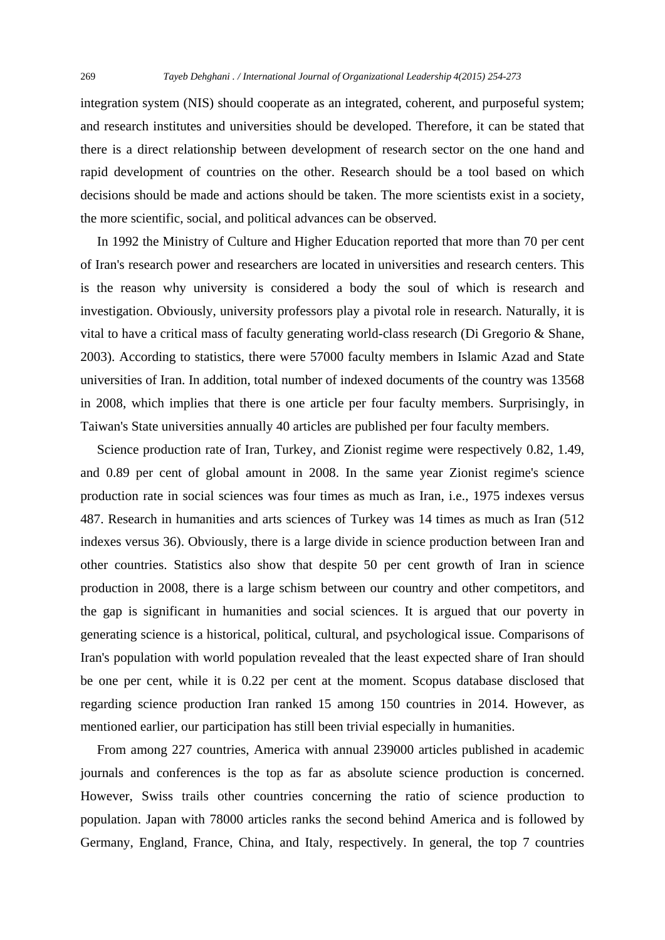integration system (NIS) should cooperate as an integrated, coherent, and purposeful system; and research institutes and universities should be developed. Therefore, it can be stated that there is a direct relationship between development of research sector on the one hand and rapid development of countries on the other. Research should be a tool based on which decisions should be made and actions should be taken. The more scientists exist in a society, the more scientific, social, and political advances can be observed.

 In 1992 the Ministry of Culture and Higher Education reported that more than 70 per cent of Iran's research power and researchers are located in universities and research centers. This is the reason why university is considered a body the soul of which is research and investigation. Obviously, university professors play a pivotal role in research. Naturally, it is vital to have a critical mass of faculty generating world-class research (Di Gregorio & Shane, 2003). According to statistics, there were 57000 faculty members in Islamic Azad and State universities of Iran. In addition, total number of indexed documents of the country was 13568 in 2008, which implies that there is one article per four faculty members. Surprisingly, in Taiwan's State universities annually 40 articles are published per four faculty members.

 Science production rate of Iran, Turkey, and Zionist regime were respectively 0.82, 1.49, and 0.89 per cent of global amount in 2008. In the same year Zionist regime's science production rate in social sciences was four times as much as Iran, i.e., 1975 indexes versus 487. Research in humanities and arts sciences of Turkey was 14 times as much as Iran (512 indexes versus 36). Obviously, there is a large divide in science production between Iran and other countries. Statistics also show that despite 50 per cent growth of Iran in science production in 2008, there is a large schism between our country and other competitors, and the gap is significant in humanities and social sciences. It is argued that our poverty in generating science is a historical, political, cultural, and psychological issue. Comparisons of Iran's population with world population revealed that the least expected share of Iran should be one per cent, while it is 0.22 per cent at the moment. Scopus database disclosed that regarding science production Iran ranked 15 among 150 countries in 2014. However, as mentioned earlier, our participation has still been trivial especially in humanities.

 From among 227 countries, America with annual 239000 articles published in academic journals and conferences is the top as far as absolute science production is concerned. However, Swiss trails other countries concerning the ratio of science production to population. Japan with 78000 articles ranks the second behind America and is followed by Germany, England, France, China, and Italy, respectively. In general, the top 7 countries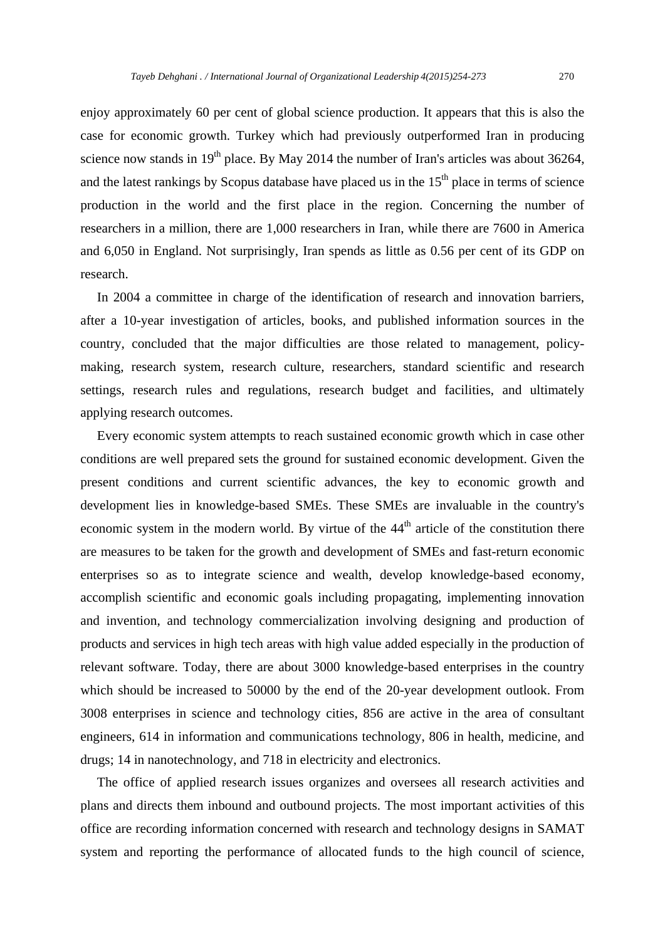enjoy approximately 60 per cent of global science production. It appears that this is also the case for economic growth. Turkey which had previously outperformed Iran in producing science now stands in  $19<sup>th</sup>$  place. By May 2014 the number of Iran's articles was about 36264, and the latest rankings by Scopus database have placed us in the  $15<sup>th</sup>$  place in terms of science production in the world and the first place in the region. Concerning the number of researchers in a million, there are 1,000 researchers in Iran, while there are 7600 in America and 6,050 in England. Not surprisingly, Iran spends as little as 0.56 per cent of its GDP on research.

 In 2004 a committee in charge of the identification of research and innovation barriers, after a 10-year investigation of articles, books, and published information sources in the country, concluded that the major difficulties are those related to management, policymaking, research system, research culture, researchers, standard scientific and research settings, research rules and regulations, research budget and facilities, and ultimately applying research outcomes.

 Every economic system attempts to reach sustained economic growth which in case other conditions are well prepared sets the ground for sustained economic development. Given the present conditions and current scientific advances, the key to economic growth and development lies in knowledge-based SMEs. These SMEs are invaluable in the country's economic system in the modern world. By virtue of the  $44<sup>th</sup>$  article of the constitution there are measures to be taken for the growth and development of SMEs and fast-return economic enterprises so as to integrate science and wealth, develop knowledge-based economy, accomplish scientific and economic goals including propagating, implementing innovation and invention, and technology commercialization involving designing and production of products and services in high tech areas with high value added especially in the production of relevant software. Today, there are about 3000 knowledge-based enterprises in the country which should be increased to 50000 by the end of the 20-year development outlook. From 3008 enterprises in science and technology cities, 856 are active in the area of consultant engineers, 614 in information and communications technology, 806 in health, medicine, and drugs; 14 in nanotechnology, and 718 in electricity and electronics.

 The office of applied research issues organizes and oversees all research activities and plans and directs them inbound and outbound projects. The most important activities of this office are recording information concerned with research and technology designs in SAMAT system and reporting the performance of allocated funds to the high council of science,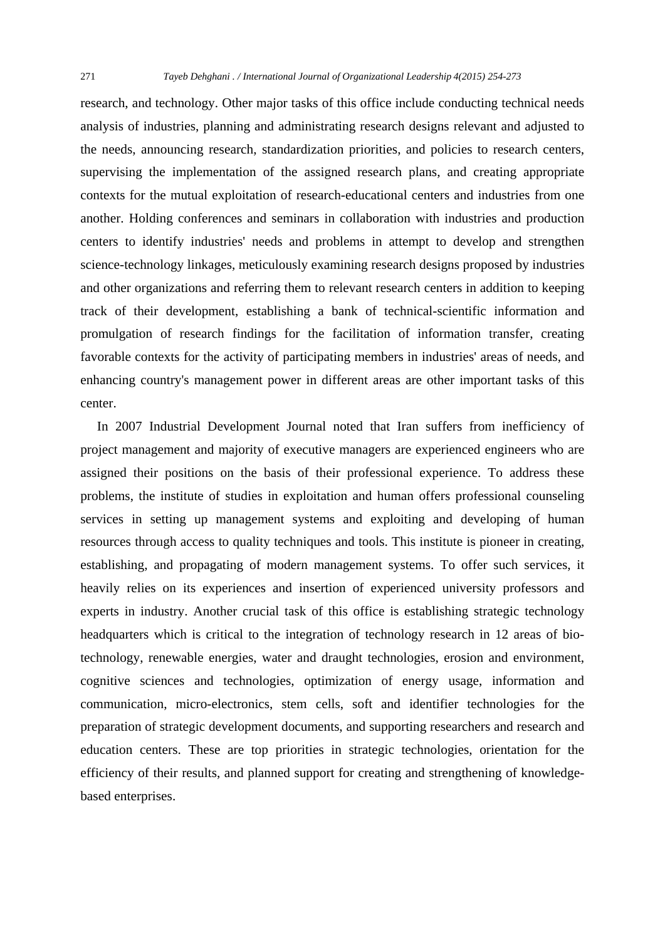research, and technology. Other major tasks of this office include conducting technical needs analysis of industries, planning and administrating research designs relevant and adjusted to the needs, announcing research, standardization priorities, and policies to research centers, supervising the implementation of the assigned research plans, and creating appropriate contexts for the mutual exploitation of research-educational centers and industries from one another. Holding conferences and seminars in collaboration with industries and production centers to identify industries' needs and problems in attempt to develop and strengthen science-technology linkages, meticulously examining research designs proposed by industries and other organizations and referring them to relevant research centers in addition to keeping track of their development, establishing a bank of technical-scientific information and promulgation of research findings for the facilitation of information transfer, creating favorable contexts for the activity of participating members in industries' areas of needs, and enhancing country's management power in different areas are other important tasks of this center.

 In 2007 Industrial Development Journal noted that Iran suffers from inefficiency of project management and majority of executive managers are experienced engineers who are assigned their positions on the basis of their professional experience. To address these problems, the institute of studies in exploitation and human offers professional counseling services in setting up management systems and exploiting and developing of human resources through access to quality techniques and tools. This institute is pioneer in creating, establishing, and propagating of modern management systems. To offer such services, it heavily relies on its experiences and insertion of experienced university professors and experts in industry. Another crucial task of this office is establishing strategic technology headquarters which is critical to the integration of technology research in 12 areas of biotechnology, renewable energies, water and draught technologies, erosion and environment, cognitive sciences and technologies, optimization of energy usage, information and communication, micro-electronics, stem cells, soft and identifier technologies for the preparation of strategic development documents, and supporting researchers and research and education centers. These are top priorities in strategic technologies, orientation for the efficiency of their results, and planned support for creating and strengthening of knowledgebased enterprises.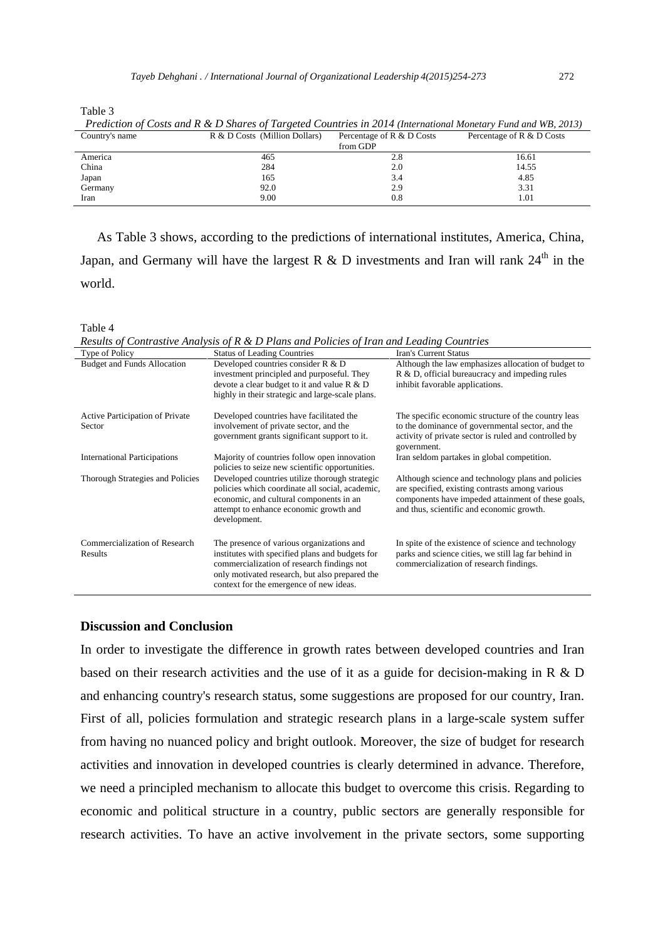Table 3

| Country's name | R & D Costs (Million Dollars) | Percentage of R & D Costs | Percentage of R & D Costs |
|----------------|-------------------------------|---------------------------|---------------------------|
|                |                               | from GDP                  |                           |
| America        | 465                           | 2.8                       | 16.61                     |
| China          | 284                           | 2.0                       | 14.55                     |
| Japan          | 165                           | 3.4                       | 4.85                      |
| Germany        | 92.0                          | 2.9                       | 3.31                      |
| Iran           | 9.00                          | 0.8                       | 1.01                      |

 *Prediction of Costs and R & D Shares of Targeted Countries in 2014 (International Monetary Fund and WB, 2013)* 

 As Table 3 shows, according to the predictions of international institutes, America, China, Japan, and Germany will have the largest R & D investments and Iran will rank  $24<sup>th</sup>$  in the world.

Table 4

*Results of Contrastive Analysis of R & D Plans and Policies of Iran and Leading Countries*

| Type of Policy                      | <b>Status of Leading Countries</b>                                                                | <b>Iran's Current Status</b>                                                                          |
|-------------------------------------|---------------------------------------------------------------------------------------------------|-------------------------------------------------------------------------------------------------------|
| <b>Budget and Funds Allocation</b>  | Developed countries consider R & D                                                                | Although the law emphasizes allocation of budget to                                                   |
|                                     | investment principled and purposeful. They                                                        | R & D, official bureaucracy and impeding rules                                                        |
|                                     | devote a clear budget to it and value $R \& D$                                                    | inhibit favorable applications.                                                                       |
|                                     | highly in their strategic and large-scale plans.                                                  |                                                                                                       |
| Active Participation of Private     | Developed countries have facilitated the                                                          | The specific economic structure of the country leas                                                   |
| Sector                              | involvement of private sector, and the                                                            | to the dominance of governmental sector, and the                                                      |
|                                     | government grants significant support to it.                                                      | activity of private sector is ruled and controlled by                                                 |
|                                     |                                                                                                   | government.                                                                                           |
| <b>International Participations</b> | Majority of countries follow open innovation<br>policies to seize new scientific opportunities.   | Iran seldom partakes in global competition.                                                           |
| Thorough Strategies and Policies    | Developed countries utilize thorough strategic<br>policies which coordinate all social, academic, | Although science and technology plans and policies<br>are specified, existing contrasts among various |
|                                     | economic, and cultural components in an                                                           | components have impeded attainment of these goals,                                                    |
|                                     | attempt to enhance economic growth and                                                            | and thus, scientific and economic growth.                                                             |
|                                     | development.                                                                                      |                                                                                                       |
| Commercialization of Research       | The presence of various organizations and                                                         | In spite of the existence of science and technology                                                   |
| Results                             | institutes with specified plans and budgets for                                                   | parks and science cities, we still lag far behind in                                                  |
|                                     | commercialization of research findings not                                                        | commercialization of research findings.                                                               |
|                                     | only motivated research, but also prepared the                                                    |                                                                                                       |
|                                     | context for the emergence of new ideas.                                                           |                                                                                                       |
|                                     |                                                                                                   |                                                                                                       |

#### **Discussion and Conclusion**

In order to investigate the difference in growth rates between developed countries and Iran based on their research activities and the use of it as a guide for decision-making in R & D and enhancing country's research status, some suggestions are proposed for our country, Iran. First of all, policies formulation and strategic research plans in a large-scale system suffer from having no nuanced policy and bright outlook. Moreover, the size of budget for research activities and innovation in developed countries is clearly determined in advance. Therefore, we need a principled mechanism to allocate this budget to overcome this crisis. Regarding to economic and political structure in a country, public sectors are generally responsible for research activities. To have an active involvement in the private sectors, some supporting